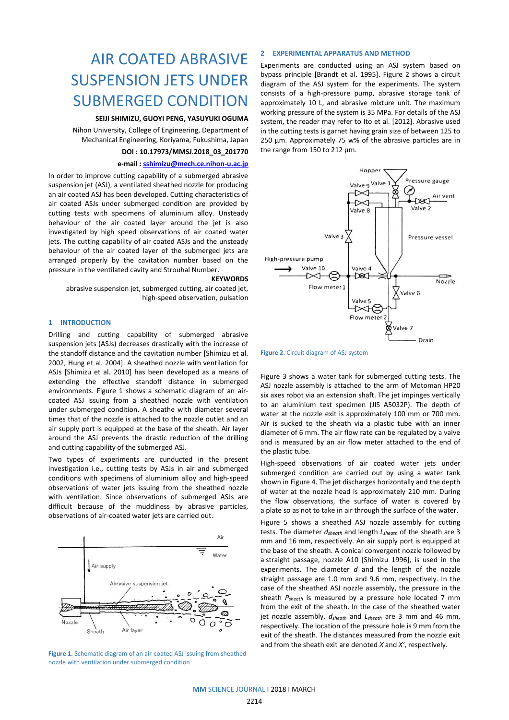# AIR COATED ABRASIVE SUSPENSION JETS UNDER SUBMERGED CONDITION

## **SEIJI SHIMIZU, GUOYI PENG, YASUYUKI OGUMA**

Nihon University, College of Engineering, Department of Mechanical Engineering, Koriyama, Fukushima, Japan

# **DOI : 10.17973/MMSJ.2018\_03\_201770**

## **e-mail [: sshimizu@mech.ce.nihon-u.ac.jp](mailto:sshimizu@mech.ce.nihon-u.ac.jp)**

In order to improve cutting capability of a submerged abrasive suspension jet (ASJ), a ventilated sheathed nozzle for producing an air coated ASJ has been developed. Cutting characteristics of air coated ASJs under submerged condition are provided by cutting tests with specimens of aluminium alloy. Unsteady behaviour of the air coated layer around the jet is also investigated by high speed observations of air coated water jets. The cutting capability of air coated ASJs and the unsteady behaviour of the air coated layer of the submerged jets are arranged properly by the cavitation number based on the pressure in the ventilated cavity and Strouhal Number.

#### **KEYWORDS**

abrasive suspension jet, submerged cutting, air coated jet, high-speed observation, pulsation

# **1 INTRODUCTION**

Drilling and cutting capability of submerged abrasive suspension jets (ASJs) decreases drastically with the increase of the standoff distance and the cavitation number [Shimizu et al. 2002, Hung et al. 2004]. A sheathed nozzle with ventilation for ASJs [Shimizu et al. 2010] has been developed as a means of extending the effective standoff distance in submerged environments. Figure 1 shows a schematic diagram of an aircoated ASJ issuing from a sheathed nozzle with ventilation under submerged condition. A sheathe with diameter several times that of the nozzle is attached to the nozzle outlet and an air supply port is equipped at the base of the sheath. Air layer around the ASJ prevents the drastic reduction of the drilling and cutting capability of the submerged ASJ.

Two types of experiments are cunducted in the present investigation i.e., cutting tests by ASJs in air and submerged conditions with specimens of aluminium alloy and high-speed observations of water jets issuing from the sheathed nozzle with ventilation. Since observations of submerged ASJs are difficult because of the muddiness by abrasive particles, observations of air-coated water jets are carried out.



**Figure 1.** Schematic diagram of an air-coated ASJ issuing from sheathed nozzle with ventilation under submerged condition

#### **2 EXPERIMENTAL APPARATUS AND METHOD**

Experiments are conducted using an ASJ system based on bypass principle [Brandt et al. 1995]. Figure 2 shows a circuit diagram of the ASJ system for the experiments. The system consists of a high-pressure pump, abrasive storage tank of approximately 10 L, and abrasive mixture unit. The maximum working pressure of the system is 35 MPa. For details of the ASJ system, the reader may refer to Ito et al. [2012]. Abrasive used in the cutting tests is garnet having grain size of between 125 to 250 μm. Approximately 75 w% of the abrasive particles are in the range from 150 to 212 μm.



**Figure 2.** Circuit diagram of ASJ system

Figure 3 shows a water tank for submerged cutting tests. The ASJ nozzle assembly is attached to the arm of Motoman HP20 six axes robot via an extension shaft. The jet impinges vertically to an aluminium test specimen (JIS A5032P). The depth of water at the nozzle exit is approximately 100 mm or 700 mm. Air is sucked to the sheath via a plastic tube with an inner diameter of 6 mm. The air flow rate can be regulated by a valve and is measured by an air flow meter attached to the end of the plastic tube.

High-speed observations of air coated water jets under submerged condition are carried out by using a water tank shown in Figure 4. The jet discharges horizontally and the depth of water at the nozzle head is approximately 210 mm. During the flow observations, the surface of water is covered by a plate so as not to take in air through the surface of the water.

Figure 5 shows a sheathed ASJ nozzle assembly for cutting tests. The diameter *dsheath* and length *Lsheath* of the sheath are 3 mm and 16 mm, respectively. An air supply port is equipped at the base of the sheath. A conical convergent nozzle followed by a straight passage, nozzle A10 [Shimizu 1996], is used in the experiments. The diameter *d* and the length of the nozzle straight passage are 1.0 mm and 9.6 mm, respectively. In the case of the sheathed ASJ nozzle assembly, the pressure in the sheath *Psheath* is measured by a pressure hole located 7 mm from the exit of the sheath. In the case of the sheathed water jet nozzle assembly, *dsheath* and *Lsheath* are 3 mm and 46 mm, respectively. The location of the pressure hole is 9 mm from the exit of the sheath. The distances measured from the nozzle exit and from the sheath exit are denoted *X* and *X'*, respectively.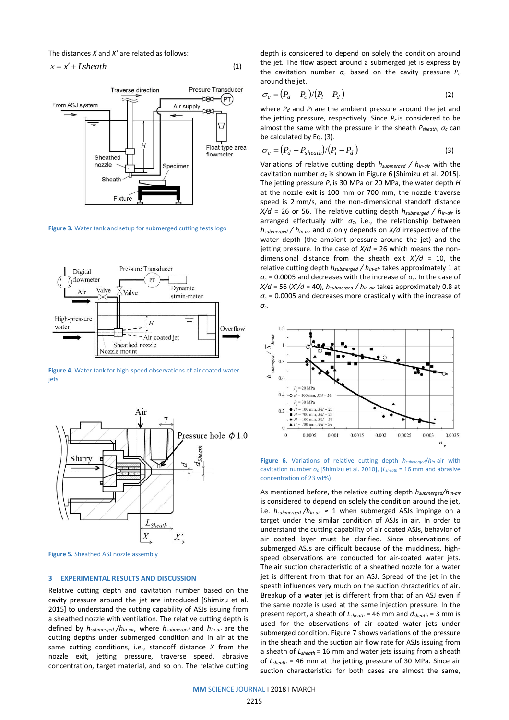The distances *X* and *X'* are related as follows:

 $x = x' + L$ *sheath* 



(1)

**Figure 3.** Water tank and setup for submerged cutting tests logo



**Figure 4.** Water tank for high-speed observations of air coated water iets



**Figure 5.** Sheathed ASJ nozzle assembly

### **3 EXPERIMENTAL RESULTS AND DISCUSSION**

Relative cutting depth and cavitation number based on the cavity pressure around the jet are introduced [Shimizu et al. 2015] to understand the cutting capability of ASJs issuing from a sheathed nozzle with ventilation. The relative cutting depth is defined by *hsubmerged /hIn-air*, where *hsubmerged* and *hIn-air* are the cutting depths under submerged condition and in air at the same cutting conditions, i.e., standoff distance *X* from the nozzle exit, jetting pressure, traverse speed, abrasive concentration, target material, and so on. The relative cutting depth is considered to depend on solely the condition around the jet. The flow aspect around a submerged jet is express by the cavitation number *σ<sup>c</sup>* based on the cavity pressure *P<sup>c</sup>* around the jet.

$$
\sigma_c = (P_d - P_c)/(P_i - P_d)
$$
\n(2)

where  $P_d$  and  $P_i$  are the ambient pressure around the jet and the jetting pressure, respectively. Since  $P_c$  is considered to be almost the same with the pressure in the sheath *Psheath*, *σ<sup>c</sup>* can be calculated by Eq. (3).

$$
\sigma_c = (P_d - P_{sheath})/(P_i - P_d)
$$
\n(3)

Variations of relative cutting depth *hsubmerged / hIn-air* with the cavitation number *σ<sup>c</sup>* is shown in Figure 6 [Shimizu et al. 2015]. The jetting pressure *P<sup>i</sup>* is 30 MPa or 20 MPa, the water depth *H* at the nozzle exit is 100 mm or 700 mm, the nozzle traverse speed is 2 mm/s, and the non-dimensional standoff distance *X/d* = 26 or 56. The relative cutting depth *hsubmerged / hIn-air* is arranged effectually with  $\sigma_c$ , i.e., the relationship between *hsubmerged / hIn-air* and *σ<sup>c</sup>* only depends on *X/d* irrespective of the water depth (the ambient pressure around the jet) and the jetting pressure. In the case of *X/d* = 26 which means the nondimensional distance from the sheath exit *X'/d* = 10, the relative cutting depth *hsubmerged / hIn-air* takes approximately 1 at  $\sigma_c$  = 0.0005 and decreases with the increase of  $\sigma_c$ . In the case of *X/d* = 56 (*X'/d* = 40), *hsubmerged / hIn-air* takes approximately 0.8 at *σ<sup>c</sup>* = 0.0005 and decreases more drastically with the increase of *σc*.



**Figure 6.** Variations of relative cutting depth *hsubmerged*/*hIn*-air with cavitation number *σ<sup>c</sup>* [Shimizu et al. 2010], (*Lsheath* = 16 mm and abrasive concentration of 23 wt%)

As mentioned before, the relative cutting depth *hsubmerged/hIn-air* is considered to depend on solely the condition around the jet, i.e.  $h_{submerged}$  / $h_{in-air} \approx 1$  when submerged ASJs impinge on a target under the similar condition of ASJs in air. In order to understand the cutting capability of air coated ASJs, behavior of air coated layer must be clarified. Since observations of submerged ASJs are difficult because of the muddiness, highspeed observations are conducted for air-coated water jets. The air suction characteristic of a sheathed nozzle for a water jet is different from that for an ASJ. Spread of the jet in the speath influences very much on the suction chracteritics of air. Breakup of a water jet is different from that of an ASJ even if the same nozzle is used at the same injection pressure. In the present report, a sheath of *Lsheath* = 46 mm and *dsheath* = 3 mm is used for the observations of air coated water jets under submerged condition. Figure 7 shows variations of the pressure in the sheath and the suction air flow rate for ASJs issuing from a sheath of *Lsheath* = 16 mm and water jets issuing from a sheath of *Lsheath* = 46 mm at the jetting pressure of 30 MPa. Since air suction characteristics for both cases are almost the same,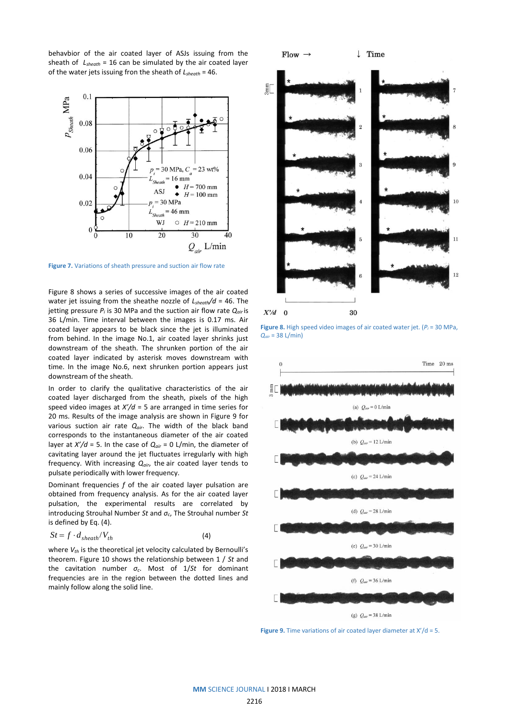behavbior of the air coated layer of ASJs issuing from the sheath of *Lsheath* = 16 can be simulated by the air coated layer of the water jets issuing fron the sheath of *Lsheath* = 46.



**Figure 7.** Variations of sheath pressure and suction air flow rate

Figure 8 shows a series of successive images of the air coated water jet issuing from the sheathe nozzle of *Lsheath/d* = 46. The jetting pressure *P<sup>i</sup>* is 30 MPa and the suction air flow rate *Qair* is 36 L/min. Time interval between the images is 0.17 ms. Air coated layer appears to be black since the jet is illuminated from behind. In the image No.1, air coated layer shrinks just downstream of the sheath. The shrunken portion of the air coated layer indicated by asterisk moves downstream with time. In the image No.6, next shrunken portion appears just downstream of the sheath.

In order to clarify the qualitative characteristics of the air coated layer discharged from the sheath, pixels of the high speed video images at *X'/d* = 5 are arranged in time series for 20 ms. Results of the image analysis are shown in Figure 9 for various suction air rate *Qair*. The width of the black band corresponds to the instantaneous diameter of the air coated layer at *X'/d* = 5. In the case of *Qair* = 0 L/min, the diameter of cavitating layer around the jet fluctuates irregularly with high frequency. With increasing *Qair*, the air coated layer tends to pulsate periodically with lower frequency.

Dominant frequencies *f* of the air coated layer pulsation are obtained from frequency analysis. As for the air coated layer pulsation, the experimental results are correlated by introducing Strouhal Number *St* and *σc*, The Strouhal number *St* is defined by Eq. (4).

$$
St = f \cdot d_{sheath} / V_{th} \tag{4}
$$

where  $V_{th}$  is the theoretical jet velocity calculated by Bernoulli's theorem. Figure 10 shows the relationship between 1 / *St* and the cavitation number *σc*. Most of 1/*St* for dominant frequencies are in the region between the dotted lines and mainly follow along the solid line.



**Figure 8.** High speed video images of air coated water jet. (*P<sup>i</sup>* = 30 MPa, *Qair* = 38 L/min)



**Figure 9.** Time variations of air coated layer diameter at X'/d = 5.